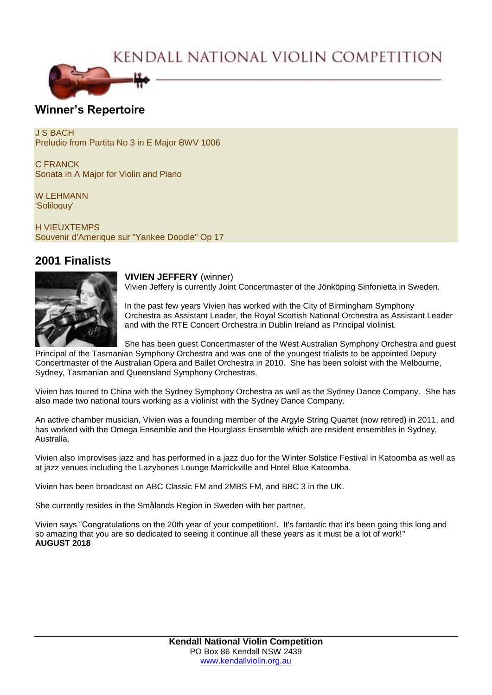# KENDALL NATIONAL VIOLIN COMPETITION



#### **Winner's Repertoire**

J S BACH Preludio from Partita No 3 in E Major BWV 1006

C FRANCK Sonata in A Major for Violin and Piano

W LEHMANN 'Soliloquy'

H VIEUXTEMPS Souvenir d'Amerique sur "Yankee Doodle" Op 17

### **2001 Finalists**



**VIVIEN JEFFERY** (winner)

Vivien Jeffery is currently Joint Concertmaster of the Jönköping Sinfonietta in Sweden.

In the past few years Vivien has worked with the City of Birmingham Symphony Orchestra as Assistant Leader, the Royal Scottish National Orchestra as Assistant Leader and with the RTE Concert Orchestra in Dublin Ireland as Principal violinist.

She has been guest Concertmaster of the West Australian Symphony Orchestra and guest Principal of the Tasmanian Symphony Orchestra and was one of the youngest trialists to be appointed Deputy Concertmaster of the Australian Opera and Ballet Orchestra in 2010. She has been soloist with the Melbourne, Sydney, Tasmanian and Queensland Symphony Orchestras.

Vivien has toured to China with the Sydney Symphony Orchestra as well as the Sydney Dance Company. She has also made two national tours working as a violinist with the Sydney Dance Company.

An active chamber musician, Vivien was a founding member of the Argyle String Quartet (now retired) in 2011, and has worked with the Omega Ensemble and the Hourglass Ensemble which are resident ensembles in Sydney, Australia.

Vivien also improvises jazz and has performed in a jazz duo for the Winter Solstice Festival in Katoomba as well as at jazz venues including the Lazybones Lounge Marrickville and Hotel Blue Katoomba.

Vivien has been broadcast on ABC Classic FM and 2MBS FM, and BBC 3 in the UK.

She currently resides in the Smålands Region in Sweden with her partner.

Vivien says "Congratulations on the 20th year of your competition!. It's fantastic that it's been going this long and so amazing that you are so dedicated to seeing it continue all these years as it must be a lot of work!" **AUGUST 2018**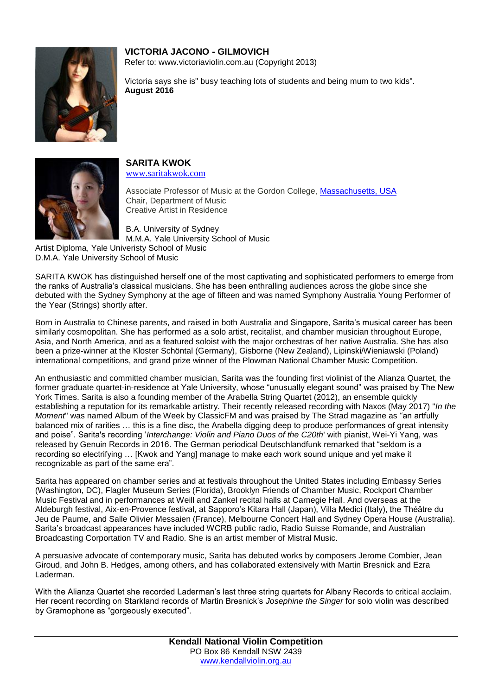

**VICTORIA JACONO - GILMOVICH**

Refer to: www.victoriaviolin.com.au (Copyright 2013)

Victoria says she is" busy teaching lots of students and being mum to two kids". **August 2016** 



## **SARITA KWOK**

[www.saritakwok.com](http://www.saritakwok.com/)

Associate Professor of Music at the Gordon College, [Massachusetts, USA](https://www.bing.com/maps?&ty=18&q=Boston%2c%20Massachusetts%2c%20United%20States&satid=id.sid%3af0f5899a-361f-4fe4-89d1-11130aa2c653&vdpid=5488162429013590018&mb=42.478174~-71.331482~42.173582~-70.9552&ppois=42.3258781003747_-71.1433410644532_Boston%2c%20Massachusetts%2c%20United%20States_~&cp=42.325878~-71.143341&v=2&sV=1&FORM=MIRE&qpvt=Boston) Chair, Department of Music Creative Artist in Residence

B.A. University of Sydney M.M.A. Yale University School of Music Artist Diploma, Yale Univeristy School of Music D.M.A. Yale University School of Music

SARITA KWOK has distinguished herself one of the most captivating and sophisticated performers to emerge from the ranks of Australia's classical musicians. She has been enthralling audiences across the globe since she debuted with the Sydney Symphony at the age of fifteen and was named Symphony Australia Young Performer of the Year (Strings) shortly after.

Born in Australia to Chinese parents, and raised in both Australia and Singapore, Sarita's musical career has been similarly cosmopolitan. She has performed as a solo artist, recitalist, and chamber musician throughout Europe, Asia, and North America, and as a featured soloist with the major orchestras of her native Australia. She has also been a prize-winner at the Kloster Schöntal (Germany), Gisborne (New Zealand), Lipinski/Wieniawski (Poland) international competitions, and grand prize winner of the Plowman National Chamber Music Competition.

An enthusiastic and committed chamber musician, Sarita was the founding first violinist of the Alianza Quartet, the former graduate quartet-in-residence at Yale University, whose "unusually elegant sound" was praised by The New York Times. Sarita is also a founding member of the Arabella String Quartet (2012), an ensemble quickly establishing a reputation for its remarkable artistry. Their recently released recording with Naxos (May 2017) "*In the Moment*" was named Album of the Week by ClassicFM and was praised by The Strad magazine as "an artfully balanced mix of rarities … this is a fine disc, the Arabella digging deep to produce performances of great intensity and poise". Sarita's recording '*Interchange: Violin and Piano Duos of the C20th*' with pianist, Wei-Yi Yang, was released by Genuin Records in 2016. The German periodical Deutschlandfunk remarked that "seldom is a recording so electrifying … [Kwok and Yang] manage to make each work sound unique and yet make it recognizable as part of the same era".

Sarita has appeared on chamber series and at festivals throughout the United States including Embassy Series (Washington, DC), Flagler Museum Series (Florida), Brooklyn Friends of Chamber Music, Rockport Chamber Music Festival and in performances at Weill and Zankel recital halls at Carnegie Hall. And overseas at the Aldeburgh festival, Aix-en-Provence festival, at Sapporo's Kitara Hall (Japan), Villa Medici (Italy), the Théâtre du Jeu de Paume, and Salle Olivier Messaien (France), Melbourne Concert Hall and Sydney Opera House (Australia). Sarita's broadcast appearances have included WCRB public radio, Radio Suisse Romande, and Australian Broadcasting Corportation TV and Radio. She is an artist member of Mistral Music.

A persuasive advocate of contemporary music, Sarita has debuted works by composers Jerome Combier, Jean Giroud, and John B. Hedges, among others, and has collaborated extensively with Martin Bresnick and Ezra Laderman.

With the Alianza Quartet she recorded Laderman's last three string quartets for Albany Records to critical acclaim. Her recent recording on Starkland records of Martin Bresnick's *Josephine the Singer* for solo violin was described by Gramophone as "gorgeously executed".